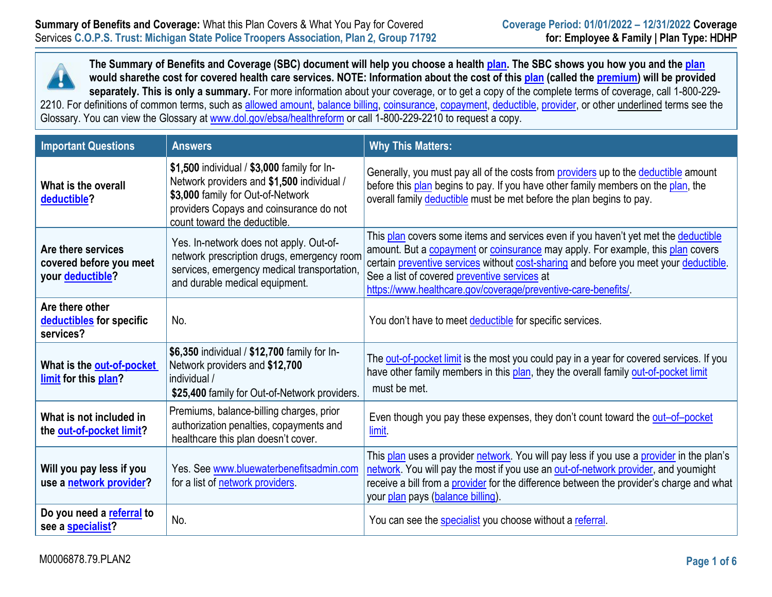

**The Summary of Benefits and Coverage (SBC) document will help you choose a health plan. The SBC shows you how you and the plan would sharethe cost for covered health care services. NOTE: Information about the cost of this plan (called the premium) will be provided separately. This is only a summary.** For more information about your coverage, or to get a copy of the complete terms of coverage, call 1-800-229- 2210. For definitions of common terms, such as allowed amount, balance billing, coinsurance, copayment, deductible, provider, or other underlined terms see the Glossary. You can view the Glossary at [www.dol.gov/ebsa/healthreform](http://www.dol.gov/ebsa/healthreform) or call 1-800-229-2210 to request a copy.

| <b>Important Questions</b>                                        | <b>Answers</b>                                                                                                                                                                                            | <b>Why This Matters:</b>                                                                                                                                                                                                                                                                                                                                                                       |
|-------------------------------------------------------------------|-----------------------------------------------------------------------------------------------------------------------------------------------------------------------------------------------------------|------------------------------------------------------------------------------------------------------------------------------------------------------------------------------------------------------------------------------------------------------------------------------------------------------------------------------------------------------------------------------------------------|
| What is the overall<br>deductible?                                | \$1,500 individual / \$3,000 family for In-<br>Network providers and \$1,500 individual /<br>\$3,000 family for Out-of-Network<br>providers Copays and coinsurance do not<br>count toward the deductible. | Generally, you must pay all of the costs from <b>providers</b> up to the deductible amount<br>before this plan begins to pay. If you have other family members on the plan, the<br>overall family deductible must be met before the plan begins to pay.                                                                                                                                        |
| Are there services<br>covered before you meet<br>your deductible? | Yes. In-network does not apply. Out-of-<br>network prescription drugs, emergency room<br>services, emergency medical transportation,<br>and durable medical equipment.                                    | This plan covers some items and services even if you haven't yet met the deductible<br>amount. But a <b>copayment</b> or <b>coinsurance</b> may apply. For example, this plan covers<br>certain preventive services without cost-sharing and before you meet your deductible.<br>See a list of covered preventive services at<br>https://www.healthcare.gov/coverage/preventive-care-benefits/ |
| Are there other<br>deductibles for specific<br>services?          | No.                                                                                                                                                                                                       | You don't have to meet deductible for specific services.                                                                                                                                                                                                                                                                                                                                       |
| What is the out-of-pocket<br>limit for this plan?                 | \$6,350 individual / \$12,700 family for In-<br>Network providers and \$12,700<br>individual /<br>\$25,400 family for Out-of-Network providers.                                                           | The out-of-pocket limit is the most you could pay in a year for covered services. If you<br>have other family members in this plan, they the overall family out-of-pocket limit<br>must be met.                                                                                                                                                                                                |
| What is not included in<br>the out-of-pocket limit?               | Premiums, balance-billing charges, prior<br>authorization penalties, copayments and<br>healthcare this plan doesn't cover.                                                                                | Even though you pay these expenses, they don't count toward the out-of-pocket<br>limit.                                                                                                                                                                                                                                                                                                        |
| Will you pay less if you<br>use a network provider?               | Yes. See www.bluewaterbenefitsadmin.com<br>for a list of network providers.                                                                                                                               | This plan uses a provider network. You will pay less if you use a provider in the plan's<br>network. You will pay the most if you use an out-of-network provider, and youmight<br>receive a bill from a provider for the difference between the provider's charge and what<br>your plan pays (balance billing).                                                                                |
| Do you need a referral to<br>see a specialist?                    | No.                                                                                                                                                                                                       | You can see the specialist you choose without a referral.                                                                                                                                                                                                                                                                                                                                      |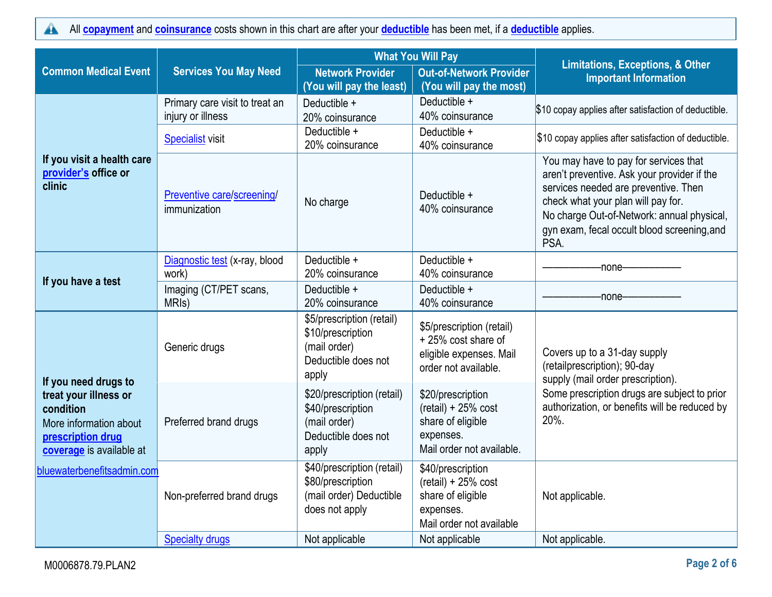All **[copayment](https://www.healthcare.gov/sbc-glossary/#copayment)** and **[coinsurance](https://www.healthcare.gov/sbc-glossary/#coinsurance)** costs shown in this chart are after your **[deductible](https://www.healthcare.gov/sbc-glossary/#deductible)** has been met, if a **[deductible](https://www.healthcare.gov/sbc-glossary/#deductible)** applies.  $\blacktriangle$ 

|                                                                                                               |                                                     | <b>What You Will Pay</b>                                                                        |                                                                                                           |                                                                                                                                                                                                                                                                         |
|---------------------------------------------------------------------------------------------------------------|-----------------------------------------------------|-------------------------------------------------------------------------------------------------|-----------------------------------------------------------------------------------------------------------|-------------------------------------------------------------------------------------------------------------------------------------------------------------------------------------------------------------------------------------------------------------------------|
| <b>Common Medical Event</b>                                                                                   | <b>Services You May Need</b>                        | <b>Network Provider</b><br>(You will pay the least)                                             | <b>Out-of-Network Provider</b><br>(You will pay the most)                                                 | <b>Limitations, Exceptions, &amp; Other</b><br><b>Important Information</b>                                                                                                                                                                                             |
|                                                                                                               | Primary care visit to treat an<br>injury or illness | Deductible +<br>20% coinsurance                                                                 | Deductible +<br>40% coinsurance                                                                           | \$10 copay applies after satisfaction of deductible.                                                                                                                                                                                                                    |
|                                                                                                               | <b>Specialist visit</b>                             | Deductible +<br>20% coinsurance                                                                 | Deductible +<br>40% coinsurance                                                                           | \$10 copay applies after satisfaction of deductible.                                                                                                                                                                                                                    |
| If you visit a health care<br>provider's office or<br>clinic                                                  | Preventive care/screening/<br>immunization          | No charge                                                                                       | Deductible +<br>40% coinsurance                                                                           | You may have to pay for services that<br>aren't preventive. Ask your provider if the<br>services needed are preventive. Then<br>check what your plan will pay for.<br>No charge Out-of-Network: annual physical,<br>gyn exam, fecal occult blood screening, and<br>PSA. |
|                                                                                                               | Diagnostic test (x-ray, blood<br>work)              | Deductible +<br>20% coinsurance                                                                 | Deductible +<br>40% coinsurance                                                                           | -none-                                                                                                                                                                                                                                                                  |
| If you have a test                                                                                            | Imaging (CT/PET scans,<br>MRI <sub>s</sub> )        | Deductible +<br>20% coinsurance                                                                 | Deductible +<br>40% coinsurance                                                                           | -none-                                                                                                                                                                                                                                                                  |
| If you need drugs to                                                                                          | Generic drugs                                       | \$5/prescription (retail)<br>\$10/prescription<br>(mail order)<br>Deductible does not<br>apply  | \$5/prescription (retail)<br>+25% cost share of<br>eligible expenses. Mail<br>order not available.        | Covers up to a 31-day supply<br>(retailprescription); 90-day<br>supply (mail order prescription).                                                                                                                                                                       |
| treat your illness or<br>condition<br>More information about<br>prescription drug<br>coverage is available at | Preferred brand drugs                               | \$20/prescription (retail)<br>\$40/prescription<br>(mail order)<br>Deductible does not<br>apply | \$20/prescription<br>$(retail) + 25% cost$<br>share of eligible<br>expenses.<br>Mail order not available. | Some prescription drugs are subject to prior<br>authorization, or benefits will be reduced by<br>20%.                                                                                                                                                                   |
| bluewaterbenefitsadmin.com                                                                                    | Non-preferred brand drugs                           | \$40/prescription (retail)<br>\$80/prescription<br>(mail order) Deductible<br>does not apply    | \$40/prescription<br>$(retail) + 25% cost$<br>share of eligible<br>expenses.<br>Mail order not available  | Not applicable.                                                                                                                                                                                                                                                         |
|                                                                                                               | <b>Specialty drugs</b>                              | Not applicable                                                                                  | Not applicable                                                                                            | Not applicable.                                                                                                                                                                                                                                                         |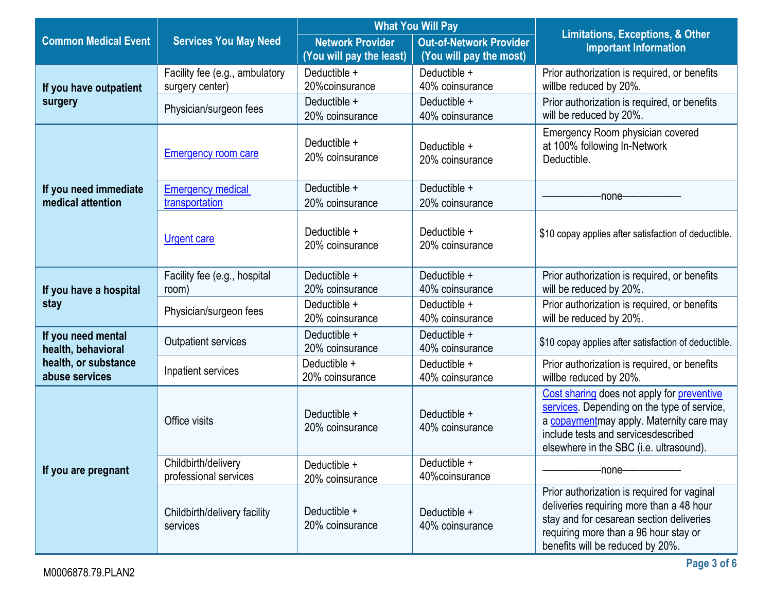|                                            |                                                   | <b>What You Will Pay</b><br><b>Network Provider</b><br><b>Out-of-Network Provider</b><br>(You will pay the least)<br>(You will pay the most) |                                 | <b>Limitations, Exceptions, &amp; Other</b><br><b>Important Information</b>                                                                                                                                             |  |
|--------------------------------------------|---------------------------------------------------|----------------------------------------------------------------------------------------------------------------------------------------------|---------------------------------|-------------------------------------------------------------------------------------------------------------------------------------------------------------------------------------------------------------------------|--|
| <b>Common Medical Event</b>                | <b>Services You May Need</b>                      |                                                                                                                                              |                                 |                                                                                                                                                                                                                         |  |
| If you have outpatient                     | Facility fee (e.g., ambulatory<br>surgery center) | Deductible +<br>20% coinsurance                                                                                                              | Deductible +<br>40% coinsurance | Prior authorization is required, or benefits<br>willbe reduced by 20%.                                                                                                                                                  |  |
| surgery                                    | Physician/surgeon fees                            | Deductible +<br>20% coinsurance                                                                                                              | Deductible +<br>40% coinsurance | Prior authorization is required, or benefits<br>will be reduced by 20%.                                                                                                                                                 |  |
|                                            | <b>Emergency room care</b>                        | Deductible +<br>20% coinsurance                                                                                                              | Deductible +<br>20% coinsurance | Emergency Room physician covered<br>at 100% following In-Network<br>Deductible.                                                                                                                                         |  |
| If you need immediate<br>medical attention | <b>Emergency medical</b><br>transportation        | Deductible +<br>20% coinsurance                                                                                                              | Deductible +<br>20% coinsurance | -none-                                                                                                                                                                                                                  |  |
|                                            | <b>Urgent care</b>                                | Deductible +<br>20% coinsurance                                                                                                              | Deductible +<br>20% coinsurance | \$10 copay applies after satisfaction of deductible.                                                                                                                                                                    |  |
| If you have a hospital                     | Facility fee (e.g., hospital<br>room)             | Deductible +<br>20% coinsurance                                                                                                              | Deductible +<br>40% coinsurance | Prior authorization is required, or benefits<br>will be reduced by 20%.                                                                                                                                                 |  |
| stay                                       | Physician/surgeon fees                            | Deductible +<br>20% coinsurance                                                                                                              | Deductible +<br>40% coinsurance | Prior authorization is required, or benefits<br>will be reduced by 20%.                                                                                                                                                 |  |
| If you need mental<br>health, behavioral   | <b>Outpatient services</b>                        | Deductible +<br>20% coinsurance                                                                                                              | Deductible +<br>40% coinsurance | \$10 copay applies after satisfaction of deductible.                                                                                                                                                                    |  |
| health, or substance<br>abuse services     | Inpatient services                                | Deductible +<br>20% coinsurance                                                                                                              | Deductible +<br>40% coinsurance | Prior authorization is required, or benefits<br>willbe reduced by 20%.                                                                                                                                                  |  |
|                                            | Office visits                                     | Deductible +<br>20% coinsurance                                                                                                              | Deductible +<br>40% coinsurance | Cost sharing does not apply for preventive<br>services. Depending on the type of service,<br>a copaymentmay apply. Maternity care may<br>include tests and servicesdescribed<br>elsewhere in the SBC (i.e. ultrasound). |  |
| If you are pregnant                        | Childbirth/delivery<br>professional services      | Deductible +<br>20% coinsurance                                                                                                              | Deductible +<br>40% coinsurance | -none-                                                                                                                                                                                                                  |  |
|                                            | Childbirth/delivery facility<br>services          | Deductible +<br>20% coinsurance                                                                                                              | Deductible +<br>40% coinsurance | Prior authorization is required for vaginal<br>deliveries requiring more than a 48 hour<br>stay and for cesarean section deliveries<br>requiring more than a 96 hour stay or<br>benefits will be reduced by 20%.        |  |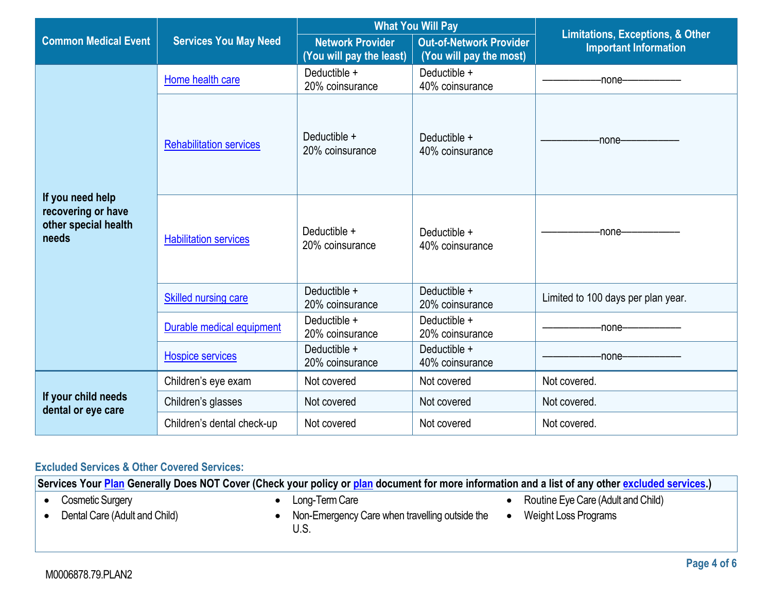|                                                                         |                                | <b>What You Will Pay</b>                            |                                                           |                                                                             |  |
|-------------------------------------------------------------------------|--------------------------------|-----------------------------------------------------|-----------------------------------------------------------|-----------------------------------------------------------------------------|--|
| <b>Common Medical Event</b>                                             | <b>Services You May Need</b>   | <b>Network Provider</b><br>(You will pay the least) | <b>Out-of-Network Provider</b><br>(You will pay the most) | <b>Limitations, Exceptions, &amp; Other</b><br><b>Important Information</b> |  |
|                                                                         | Home health care               | Deductible +<br>20% coinsurance                     | Deductible +<br>40% coinsurance                           | -none-                                                                      |  |
|                                                                         | <b>Rehabilitation services</b> | Deductible +<br>20% coinsurance                     | Deductible +<br>40% coinsurance                           | -none-                                                                      |  |
| If you need help<br>recovering or have<br>other special health<br>needs | <b>Habilitation services</b>   | Deductible +<br>20% coinsurance                     | Deductible +<br>40% coinsurance                           | -none-                                                                      |  |
|                                                                         | <b>Skilled nursing care</b>    | Deductible +<br>20% coinsurance                     | Deductible +<br>20% coinsurance                           | Limited to 100 days per plan year.                                          |  |
|                                                                         | Durable medical equipment      | Deductible +<br>20% coinsurance                     | Deductible +<br>20% coinsurance                           | -none-                                                                      |  |
|                                                                         | <b>Hospice services</b>        | Deductible +<br>20% coinsurance                     | Deductible +<br>40% coinsurance                           | -none-                                                                      |  |
|                                                                         | Children's eye exam            | Not covered                                         | Not covered                                               | Not covered.                                                                |  |
| If your child needs<br>dental or eye care                               | Children's glasses             | Not covered                                         | Not covered                                               | Not covered.                                                                |  |
|                                                                         | Children's dental check-up     | Not covered                                         | Not covered                                               | Not covered.                                                                |  |

# **Excluded Services & Other Covered Services:**

**Services Your [Plan](https://www.healthcare.gov/sbc-glossary/#plan) Generally Does NOT Cover (Check your policy or [plan](https://www.healthcare.gov/sbc-glossary/#plan) document for more information and a list of any other [excluded services.](https://www.healthcare.gov/sbc-glossary/#excluded-services))** • Cosmetic Surgery • Dental Care (Adult and Child) • Long-Term Care • Non-Emergency Care when travelling outside the U.S. • Routine Eye Care (Adult and Child) • Weight Loss Programs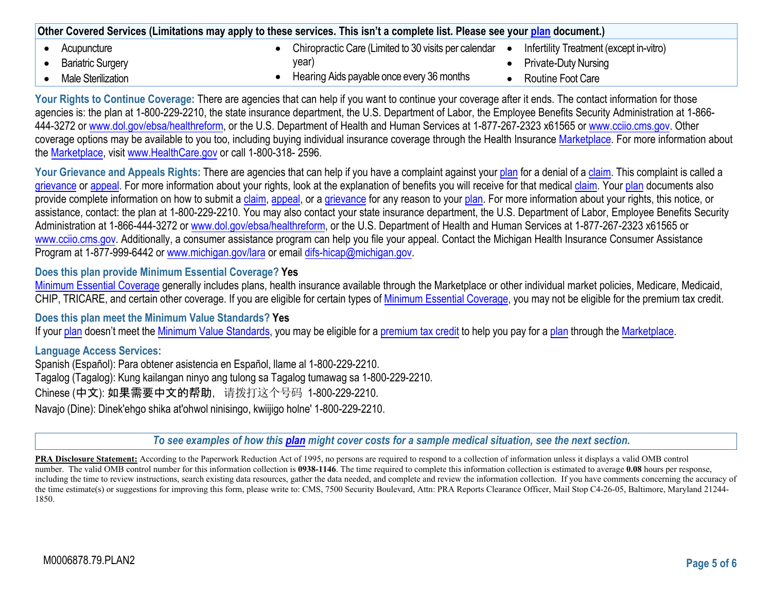| Other Covered Services (Limitations may apply to these services. This isn't a complete list. Please see your plan document.) |  |                                                        |  |                                         |
|------------------------------------------------------------------------------------------------------------------------------|--|--------------------------------------------------------|--|-----------------------------------------|
| Acupuncture                                                                                                                  |  | Chiropractic Care (Limited to 30 visits per calendar ● |  | Infertility Treatment (except in-vitro) |
| <b>Bariatric Surgery</b>                                                                                                     |  | year)                                                  |  | <b>Private-Duty Nursing</b>             |
| Male Sterilization                                                                                                           |  | Hearing Aids payable once every 36 months              |  | Routine Foot Care                       |

**Your Rights to Continue Coverage:** There are agencies that can help if you want to continue your coverage after it ends. The contact information for those agencies is: the plan at 1-800-229-2210, the state insurance department, the U.S. Department of Labor, the Employee Benefits Security Administration at 1-866-444-3272 or [www.dol.gov/ebsa/healthreform, o](http://www.dol.gov/ebsa/healthreform)r the U.S. Department of Health and Human Services at 1-877-267-2323 x61565 or [www.cciio.cms.gov. O](http://www.cciio.cms.gov/)ther coverage options may be available to you too, including buying individual insurance coverage through the Health Insurance Marketplace. For more information about the Marketplace, visit [www.HealthCare.gov](http://www.healthcare.gov/) or call 1-800-318- 2596.

Your Grievance and Appeals Rights: There are agencies that can help if you have a complaint against your plan for a denial of a claim. This complaint is called a grievance or appeal. For more information about your rights, look at the explanation of benefits you will receive for that medical claim. Your plan documents also provide complete information on how to submit a claim, appeal, or a grievance for any reason to your plan. For more information about your rights, this notice, or assistance, contact: the plan at 1-800-229-2210. You may also contact your state insurance department, the U.S. Department of Labor, Employee Benefits Security Administration at 1-866-444-3272 or [www.dol.gov/ebsa/healthreform, or](http://www.dol.gov/ebsa/healthreform) the U.S. Department of Health and Human Services at 1-877-267-2323 x61565 or [www.cciio.cms.gov. A](http://www.cciio.cms.gov/)dditionally, a consumer assistance program can help you file your appeal. Contact the Michigan Health Insurance Consumer Assistance Program at 1-877-999-6442 or [www.michigan.gov/lara](http://www.michigan.gov/lara) or email difs-hicap@michigan.gov.

#### **Does this plan provide Minimum Essential Coverage? Yes**

Minimum Essential Coverage generally includes plans, health insurance available through the Marketplace or other individual market policies, Medicare, Medicaid, CHIP, TRICARE, and certain other coverage. If you are eligible for certain types of Minimum Essential Coverage, you may not be eligible for the premium tax credit.

#### **Does this plan meet the Minimum Value Standards? Yes**

If your plan doesn't meet the Minimum Value Standards, you may be eligible for a premium tax credit to help you pay for a plan through the Marketplace.

#### **Language Access Services:**

Spanish (Español): Para obtener asistencia en Español, llame al 1-800-229-2210. Tagalog (Tagalog): Kung kailangan ninyo ang tulong sa Tagalog tumawag sa 1-800-229-2210. Chinese (中文): 如果需要中文的帮助,请拨打这个号码 1-800-229-2210. Navajo (Dine): Dinek'ehgo shika at'ohwol ninisingo, kwiijigo holne' 1-800-229-2210.

*To see examples of how this [plan](https://www.healthcare.gov/sbc-glossary/#plan) might cover costs for a sample medical situation, see the next section.*

**PRA Disclosure Statement:** According to the Paperwork Reduction Act of 1995, no persons are required to respond to a collection of information unless it displays a valid OMB control number. The valid OMB control number for this information collection is **0938-1146**. The time required to complete this information collection is estimated to average **0.08** hours per response, including the time to review instructions, search existing data resources, gather the data needed, and complete and review the information collection. If you have comments concerning the accuracy of the time estimate(s) or suggestions for improving this form, please write to: CMS, 7500 Security Boulevard, Attn: PRA Reports Clearance Officer, Mail Stop C4-26-05, Baltimore, Maryland 21244-1850.